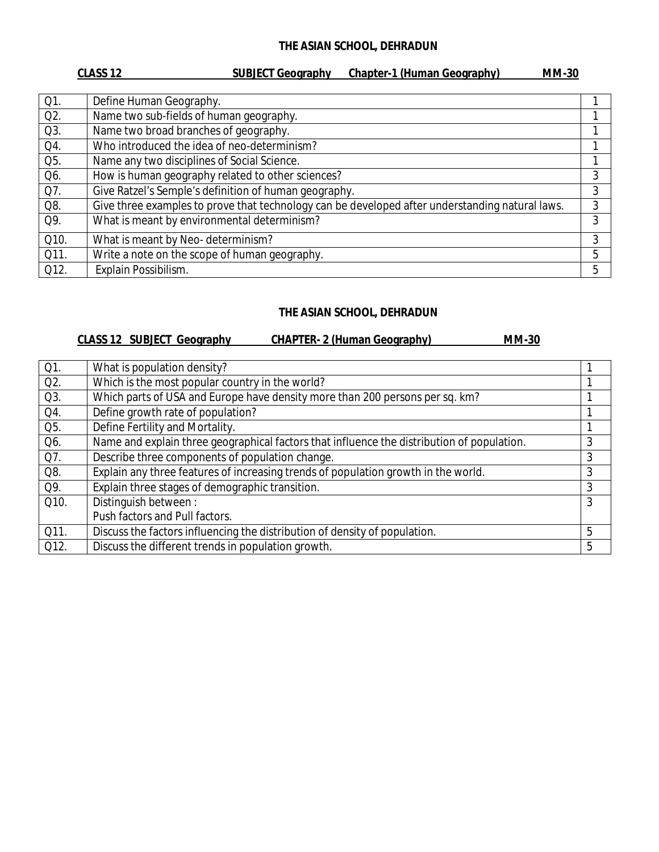## **THE ASIAN SCHOOL, DEHRADUN**

| CLASS <sub>12</sub> | <b>SUBJECT Geography</b> |  | <b>Chapter-1 (Human Geography)</b> |  | <b>MM-30</b> |
|---------------------|--------------------------|--|------------------------------------|--|--------------|
|                     |                          |  |                                    |  |              |

| $Q1$ . | Define Human Geography.                                                                         |   |
|--------|-------------------------------------------------------------------------------------------------|---|
| $Q2$ . | Name two sub-fields of human geography.                                                         |   |
| Q3.    | Name two broad branches of geography.                                                           |   |
| Q4.    | Who introduced the idea of neo-determinism?                                                     |   |
| Q5.    | Name any two disciplines of Social Science.                                                     |   |
| Q6.    | How is human geography related to other sciences?                                               | 3 |
| Q7.    | Give Ratzel's Semple's definition of human geography.                                           | 3 |
| Q8.    | Give three examples to prove that technology can be developed after understanding natural laws. | 3 |
| Q9.    | What is meant by environmental determinism?                                                     | 3 |
| Q10.   | What is meant by Neo-determinism?                                                               | 3 |
| Q11.   | Write a note on the scope of human geography.                                                   | 5 |
| Q12.   | Explain Possibilism.                                                                            | 5 |

# **THE ASIAN SCHOOL, DEHRADUN**

# **CLASS 12 SUBJECT Geography CHAPTER- 2 (Human Geography) MM-30**

| $Q1$ . | What is population density?                                                                |   |
|--------|--------------------------------------------------------------------------------------------|---|
| $Q2$ . | Which is the most popular country in the world?                                            |   |
| $Q3$ . | Which parts of USA and Europe have density more than 200 persons per sq. km?               |   |
| Q4.    | Define growth rate of population?                                                          |   |
| Q5.    | Define Fertility and Mortality.                                                            |   |
| Q6.    | Name and explain three geographical factors that influence the distribution of population. | 3 |
| Q7.    | Describe three components of population change.                                            | 3 |
| Q8.    | Explain any three features of increasing trends of population growth in the world.         | 3 |
| Q9.    | Explain three stages of demographic transition.                                            | 3 |
| Q10.   | Distinguish between:                                                                       | 3 |
|        | Push factors and Pull factors.                                                             |   |
| Q11.   | Discuss the factors influencing the distribution of density of population.                 | 5 |
| Q12.   | Discuss the different trends in population growth.                                         | 5 |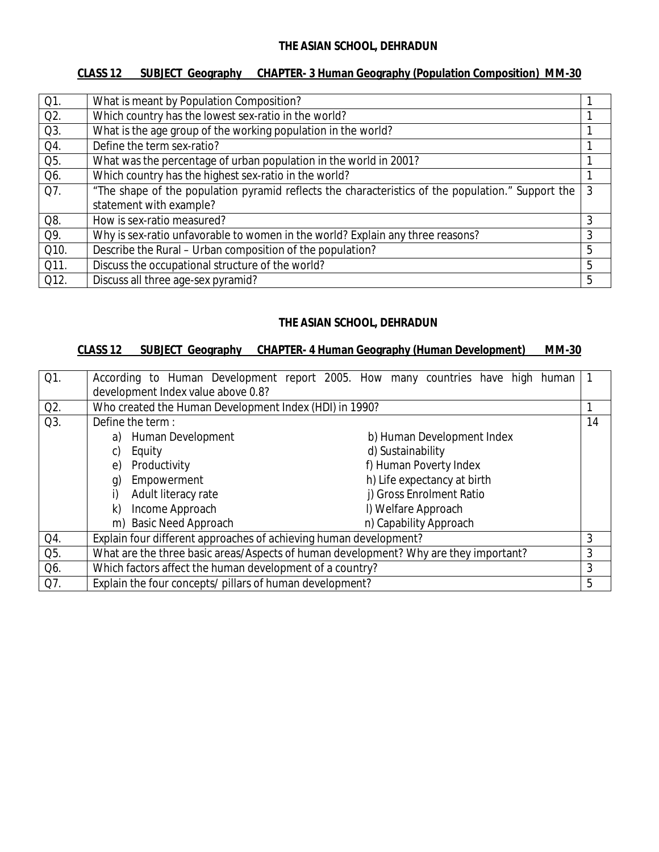## **CLASS 12 SUBJECT Geography CHAPTER- 3 Human Geography (Population Composition) MM-30**

| Q1.    | What is meant by Population Composition?                                                          |   |
|--------|---------------------------------------------------------------------------------------------------|---|
| $Q2$ . | Which country has the lowest sex-ratio in the world?                                              |   |
| Q3.    | What is the age group of the working population in the world?                                     |   |
| Q4.    | Define the term sex-ratio?                                                                        |   |
| Q5.    | What was the percentage of urban population in the world in 2001?                                 |   |
| Q6.    | Which country has the highest sex-ratio in the world?                                             |   |
| Q7.    | "The shape of the population pyramid reflects the characteristics of the population." Support the | 3 |
|        | statement with example?                                                                           |   |
| Q8.    | How is sex-ratio measured?                                                                        | 3 |
| Q9.    | Why is sex-ratio unfavorable to women in the world? Explain any three reasons?                    | 3 |
| Q10.   | Describe the Rural - Urban composition of the population?                                         | 5 |
| Q11.   | Discuss the occupational structure of the world?                                                  | 5 |
| Q12.   | Discuss all three age-sex pyramid?                                                                | 5 |

#### **THE ASIAN SCHOOL, DEHRADUN**

### **CLASS 12 SUBJECT Geography CHAPTER- 4 Human Geography (Human Development) MM-30**

| $Q1$ . | According to Human Development report 2005. How many countries have high human       |  |    |
|--------|--------------------------------------------------------------------------------------|--|----|
|        | development Index value above 0.8?                                                   |  |    |
| Q2.    | Who created the Human Development Index (HDI) in 1990?                               |  |    |
| Q3.    | Define the term:                                                                     |  | 14 |
|        | Human Development<br>b) Human Development Index<br>a)                                |  |    |
|        | d) Sustainability<br>Equity                                                          |  |    |
|        | f) Human Poverty Index<br>Productivity<br>e)                                         |  |    |
|        | h) Life expectancy at birth<br>Empowerment<br>g)                                     |  |    |
|        | j) Gross Enrolment Ratio<br>Adult literacy rate                                      |  |    |
|        | I) Welfare Approach<br>Income Approach<br>k)                                         |  |    |
|        | m) Basic Need Approach<br>n) Capability Approach                                     |  |    |
| Q4.    | Explain four different approaches of achieving human development?                    |  | 3  |
| Q5.    | What are the three basic areas/Aspects of human development? Why are they important? |  | 3  |
| Q6.    | Which factors affect the human development of a country?                             |  | 3  |
| Q7.    | Explain the four concepts/ pillars of human development?                             |  | 5  |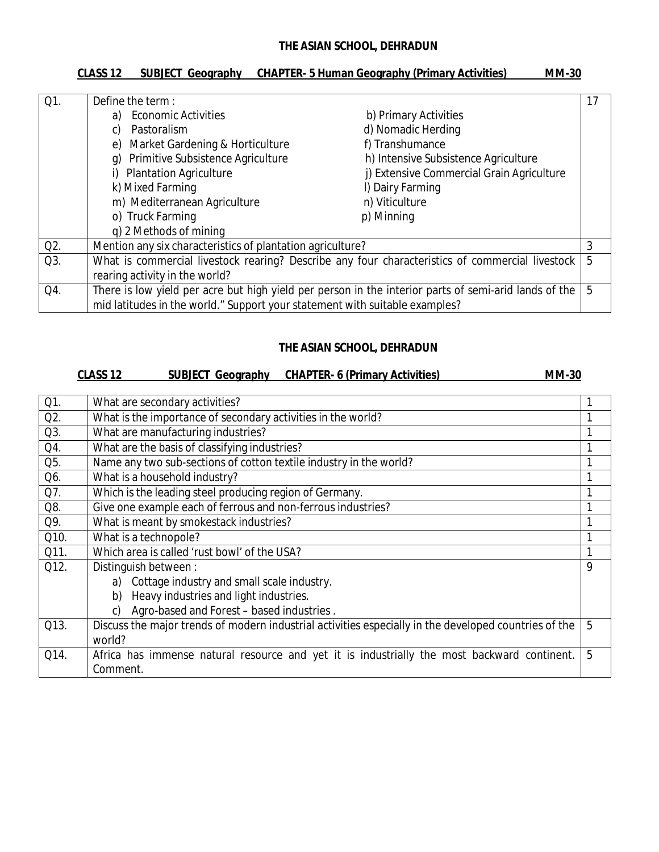## **THE ASIAN SCHOOL, DEHRADUN**

| <b>CLASS 12</b> | SUBJECT Geography CHAPTER- 5 Human Geography (Primary Activities) | <b>MM-30</b> |
|-----------------|-------------------------------------------------------------------|--------------|
|                 |                                                                   |              |

| $Q1$ . | Define the term:                                                            |                                                                                                       | 17 |
|--------|-----------------------------------------------------------------------------|-------------------------------------------------------------------------------------------------------|----|
|        | <b>Economic Activities</b><br>a)                                            | b) Primary Activities                                                                                 |    |
|        | Pastoralism<br>C)                                                           | d) Nomadic Herding                                                                                    |    |
|        | Market Gardening & Horticulture<br>e)                                       | f) Transhumance                                                                                       |    |
|        | Primitive Subsistence Agriculture<br>q)                                     | h) Intensive Subsistence Agriculture                                                                  |    |
|        | i) Plantation Agriculture                                                   | j) Extensive Commercial Grain Agriculture                                                             |    |
|        | k) Mixed Farming                                                            | I) Dairy Farming                                                                                      |    |
|        | m) Mediterranean Agriculture                                                | n) Viticulture                                                                                        |    |
|        | o) Truck Farming                                                            | p) Minning                                                                                            |    |
|        | q) 2 Methods of mining                                                      |                                                                                                       |    |
| Q2.    | Mention any six characteristics of plantation agriculture?                  |                                                                                                       | 3  |
| Q3.    |                                                                             | What is commercial livestock rearing? Describe any four characteristics of commercial livestock       | 5  |
|        | rearing activity in the world?                                              |                                                                                                       |    |
| Q4.    |                                                                             | There is low yield per acre but high yield per person in the interior parts of semi-arid lands of the | 5  |
|        | mid latitudes in the world." Support your statement with suitable examples? |                                                                                                       |    |

#### **THE ASIAN SCHOOL, DEHRADUN**

# **CLASS 12 SUBJECT Geography CHAPTER- 6 (Primary Activities) MM-30**

| Q1.  | What are secondary activities?                                                                        |   |
|------|-------------------------------------------------------------------------------------------------------|---|
| Q2.  | What is the importance of secondary activities in the world?                                          |   |
| Q3.  | What are manufacturing industries?                                                                    |   |
| Q4.  | What are the basis of classifying industries?                                                         |   |
| Q5.  | Name any two sub-sections of cotton textile industry in the world?                                    | 1 |
| Q6.  | What is a household industry?                                                                         |   |
| Q7.  | Which is the leading steel producing region of Germany.                                               | 1 |
| Q8.  | Give one example each of ferrous and non-ferrous industries?                                          | 1 |
| Q9.  | What is meant by smokestack industries?                                                               | 1 |
| Q10. | What is a technopole?                                                                                 | 1 |
| Q11. | Which area is called 'rust bowl' of the USA?                                                          |   |
| Q12. | Distinguish between:                                                                                  | 9 |
|      | Cottage industry and small scale industry.<br>a)                                                      |   |
|      | Heavy industries and light industries.<br>b)                                                          |   |
|      | Agro-based and Forest - based industries.<br>C)                                                       |   |
| Q13. | Discuss the major trends of modern industrial activities especially in the developed countries of the | 5 |
|      | world?                                                                                                |   |
| Q14. | Africa has immense natural resource and yet it is industrially the most backward continent.           | 5 |
|      | Comment.                                                                                              |   |